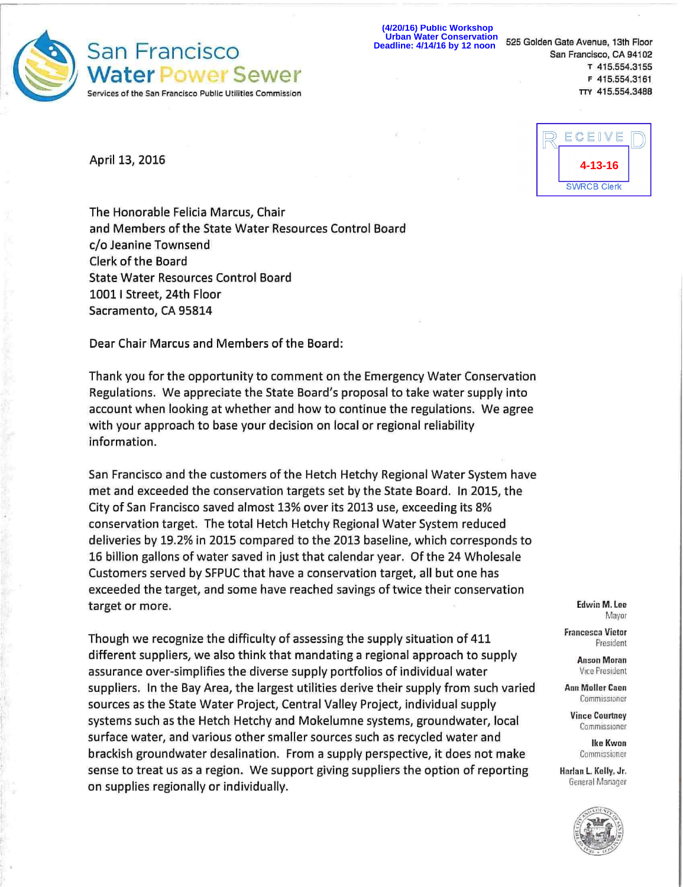

**(4/20/16) Public Workshop Urban Water Conservation Deadline: 4/14/16 by 12 noon** 

**i** 

April 13, 2016

ECEIVE **4-13-16SWRCB Clerk** 

The Honorable Felicia Marcus, Chair and Members of the State Water Resources Control Board c/o Jeanine Townsend Clerk of the Board State Water Resources Control Board 10011 Street, 24th Floor Sacramento, CA 95814

Dear Chair Marcus and Members of the Board:

Thank you for the opportunity to comment on the Emergency Water Conservation Regulations. We appreciate the State Board's proposal to take water supply into account when looking at whether and how to continue the regulations. We agree with your approach to base your decision on local or regional reliability information.

San Francisco and the customers of the Hetch Hetchy Regional Water System have met and exceeded the conservation targets set by the State Board. In 2015, the City of San Francisco saved almost 13% over its 2013 use, exceeding its 8% conservation target. The total Hetch Hetchy Regional Water System reduced deliveries by 19.2% in 2015 compared to the 2013 baseline, which corresponds to 16 billion gallons of water saved in just that calendar year. Of the 24 Wholesale Customers served by SFPUC that have a conservation target, all but one has exceeded the target, and some have reached savings of twice their conservation target or more.

Though we recognize the difficulty of assessing the supply situation of 411 different suppliers, we also think that mandating a regional approach to supply assurance over-simplifies the diverse supply portfolios of individual water suppliers. In the Bay Area, the largest utilities derive their supply from such varied sources as the State Water Project, Central Valley Project, individual supply systems such as the Hetch Hetchy and Mokelumne systems, groundwater, local surface water, and various other smaller sources such as recycled water and brackish groundwater desalination. From a supply perspective, it does not make sense to treat us as a region. We support giving suppliers the option of reporting on supplies regionally or individually.

**Edwin M. Lee**  Mayor

**Francesca Vietor**  Fresident

> **Anson Moran**  Vice President

**Ann Moller Caen**  Commissioner

**Vince Courtney**  Commissioner

**Ike Kwon**  Commissioner

**Harlan L Kelly, Jr.**  General Manager